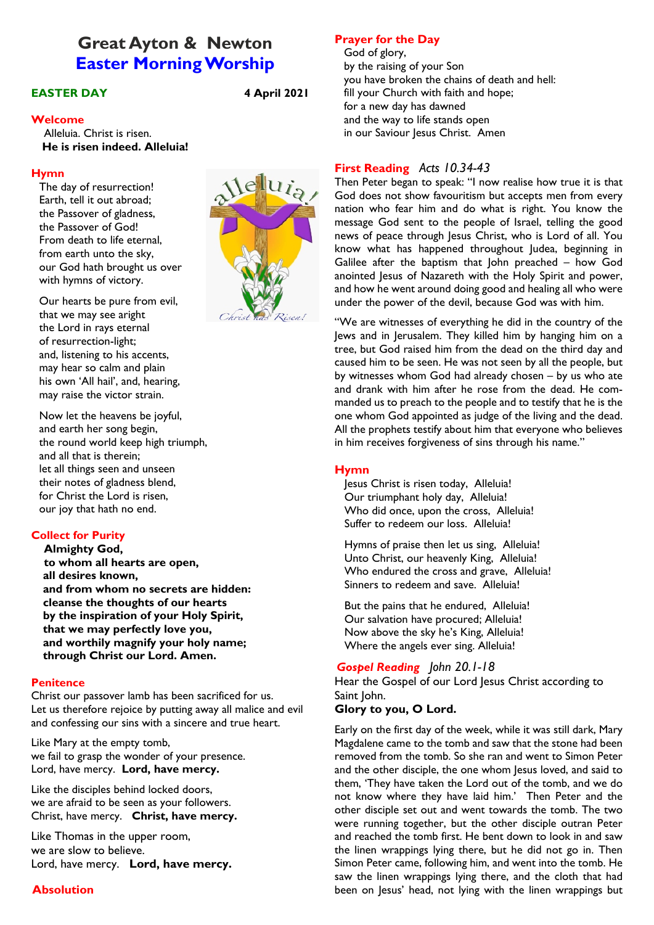# **Great Ayton & Newton Easter Morning Worship**

## **EASTER DAY 4 April 2021**

#### **Welcome**

 Alleluia. Christ is risen. **He is risen indeed. Alleluia!**

#### **Hymn**

The day of resurrection! Earth, tell it out abroad; the Passover of gladness, the Passover of God! From death to life eternal, from earth unto the sky, our God hath brought us over with hymns of victory.

Our hearts be pure from evil, that we may see aright the Lord in rays eternal of resurrection-light; and, listening to his accents, may hear so calm and plain his own 'All hail', and, hearing, may raise the victor strain.

Now let the heavens be joyful, and earth her song begin, the round world keep high triumph, and all that is therein; let all things seen and unseen their notes of gladness blend, for Christ the Lord is risen, our joy that hath no end.

## **Collect for Purity**

**Almighty God, to whom all hearts are open, all desires known, and from whom no secrets are hidden: cleanse the thoughts of our hearts by the inspiration of your Holy Spirit, that we may perfectly love you, and worthily magnify your holy name; through Christ our Lord. Amen.**

### **Penitence**

Christ our passover lamb has been sacrificed for us. Let us therefore rejoice by putting away all malice and evil and confessing our sins with a sincere and true heart.

Like Mary at the empty tomb, we fail to grasp the wonder of your presence. Lord, have mercy. **Lord, have mercy.**

Like the disciples behind locked doors, we are afraid to be seen as your followers. Christ, have mercy. **Christ, have mercy.**

Like Thomas in the upper room, we are slow to believe. Lord, have mercy. **Lord, have mercy.**

### **Absolution**



## **Prayer for the Day**

God of glory, by the raising of your Son you have broken the chains of death and hell: fill your Church with faith and hope; for a new day has dawned and the way to life stands open in our Saviour Jesus Christ. Amen

## **First Reading** *Acts 10.34-43*

Then Peter began to speak: "I now realise how true it is that God does not show favouritism but accepts men from every nation who fear him and do what is right. You know the message God sent to the people of Israel, telling the good news of peace through Jesus Christ, who is Lord of all. You know what has happened throughout Judea, beginning in Galilee after the baptism that John preached – how God anointed Jesus of Nazareth with the Holy Spirit and power, and how he went around doing good and healing all who were under the power of the devil, because God was with him.

"We are witnesses of everything he did in the country of the Jews and in Jerusalem. They killed him by hanging him on a tree, but God raised him from the dead on the third day and caused him to be seen. He was not seen by all the people, but by witnesses whom God had already chosen – by us who ate and drank with him after he rose from the dead. He commanded us to preach to the people and to testify that he is the one whom God appointed as judge of the living and the dead. All the prophets testify about him that everyone who believes in him receives forgiveness of sins through his name."

## **Hymn**

Jesus Christ is risen today, Alleluia! Our triumphant holy day, Alleluia! Who did once, upon the cross, Alleluia! Suffer to redeem our loss. Alleluia!

Hymns of praise then let us sing, Alleluia! Unto Christ, our heavenly King, Alleluia! Who endured the cross and grave, Alleluia! Sinners to redeem and save. Alleluia!

But the pains that he endured, Alleluia! Our salvation have procured; Alleluia! Now above the sky he's King, Alleluia! Where the angels ever sing. Alleluia!

## *Gospel Reading John 20.1-18*

Hear the Gospel of our Lord Jesus Christ according to Saint John.

#### **Glory to you, O Lord.**

Early on the first day of the week, while it was still dark, Mary Magdalene came to the tomb and saw that the stone had been removed from the tomb. So she ran and went to Simon Peter and the other disciple, the one whom Jesus loved, and said to them, 'They have taken the Lord out of the tomb, and we do not know where they have laid him.' Then Peter and the other disciple set out and went towards the tomb. The two were running together, but the other disciple outran Peter and reached the tomb first. He bent down to look in and saw the linen wrappings lying there, but he did not go in. Then Simon Peter came, following him, and went into the tomb. He saw the linen wrappings lying there, and the cloth that had been on Jesus' head, not lying with the linen wrappings but